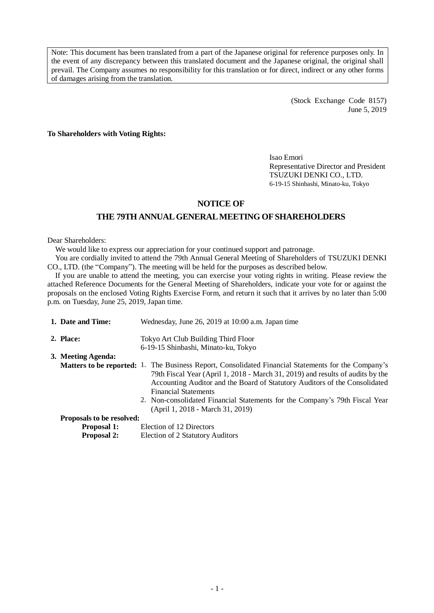Note: This document has been translated from a part of the Japanese original for reference purposes only. In the event of any discrepancy between this translated document and the Japanese original, the original shall prevail. The Company assumes no responsibility for this translation or for direct, indirect or any other forms of damages arising from the translation.

> (Stock Exchange Code 8157) June 5, 2019

**To Shareholders with Voting Rights:**

Isao Emori Representative Director and President TSUZUKI DENKI CO., LTD. 6-19-15 Shinbashi, Minato-ku, Tokyo

### **NOTICE OF**

### **THE 79TH ANNUAL GENERAL MEETING OF SHAREHOLDERS**

Dear Shareholders:

We would like to express our appreciation for your continued support and patronage.

You are cordially invited to attend the 79th Annual General Meeting of Shareholders of TSUZUKI DENKI CO., LTD. (the "Company"). The meeting will be held for the purposes as described below.

If you are unable to attend the meeting, you can exercise your voting rights in writing. Please review the attached Reference Documents for the General Meeting of Shareholders, indicate your vote for or against the proposals on the enclosed Voting Rights Exercise Form, and return it such that it arrives by no later than 5:00 p.m. on Tuesday, June 25, 2019, Japan time.

| 1. Date and Time:         | Wednesday, June 26, 2019 at 10:00 a.m. Japan time                                                                                                                                                                                                                                                                                                                                                                            |  |  |  |
|---------------------------|------------------------------------------------------------------------------------------------------------------------------------------------------------------------------------------------------------------------------------------------------------------------------------------------------------------------------------------------------------------------------------------------------------------------------|--|--|--|
| 2. Place:                 | Tokyo Art Club Building Third Floor                                                                                                                                                                                                                                                                                                                                                                                          |  |  |  |
|                           | 6-19-15 Shinbashi, Minato-ku, Tokyo                                                                                                                                                                                                                                                                                                                                                                                          |  |  |  |
| 3. Meeting Agenda:        |                                                                                                                                                                                                                                                                                                                                                                                                                              |  |  |  |
|                           | <b>Matters to be reported:</b> 1. The Business Report, Consolidated Financial Statements for the Company's<br>79th Fiscal Year (April 1, 2018 - March 31, 2019) and results of audits by the<br>Accounting Auditor and the Board of Statutory Auditors of the Consolidated<br><b>Financial Statements</b><br>2. Non-consolidated Financial Statements for the Company's 79th Fiscal Year<br>(April 1, 2018 - March 31, 2019) |  |  |  |
| Proposals to be resolved: |                                                                                                                                                                                                                                                                                                                                                                                                                              |  |  |  |
| <b>Proposal 1:</b>        | Election of 12 Directors                                                                                                                                                                                                                                                                                                                                                                                                     |  |  |  |
| <b>Proposal 2:</b>        | Election of 2 Statutory Auditors                                                                                                                                                                                                                                                                                                                                                                                             |  |  |  |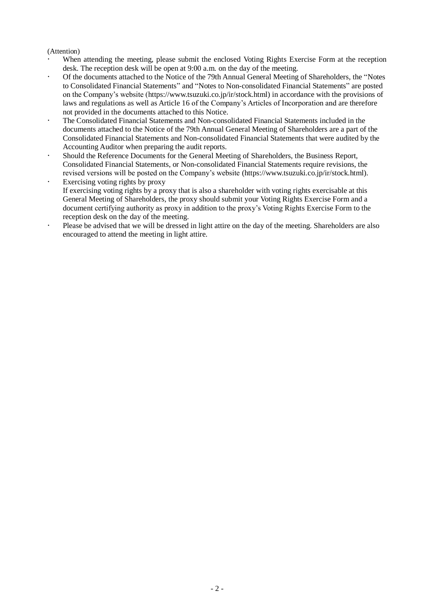### (Attention)

- When attending the meeting, please submit the enclosed Voting Rights Exercise Form at the reception desk. The reception desk will be open at 9:00 a.m. on the day of the meeting.
- Of the documents attached to the Notice of the 79th Annual General Meeting of Shareholders, the "Notes to Consolidated Financial Statements" and "Notes to Non-consolidated Financial Statements" are posted on the Company's website (https://www.tsuzuki.co.jp/ir/stock.html) in accordance with the provisions of laws and regulations as well as Article 16 of the Company's Articles of Incorporation and are therefore not provided in the documents attached to this Notice.
- The Consolidated Financial Statements and Non-consolidated Financial Statements included in the documents attached to the Notice of the 79th Annual General Meeting of Shareholders are a part of the Consolidated Financial Statements and Non-consolidated Financial Statements that were audited by the Accounting Auditor when preparing the audit reports.
- Should the Reference Documents for the General Meeting of Shareholders, the Business Report, Consolidated Financial Statements, or Non-consolidated Financial Statements require revisions, the revised versions will be posted on the Company's website (https://www.tsuzuki.co.jp/ir/stock.html).
- Exercising voting rights by proxy If exercising voting rights by a proxy that is also a shareholder with voting rights exercisable at this General Meeting of Shareholders, the proxy should submit your Voting Rights Exercise Form and a document certifying authority as proxy in addition to the proxy's Voting Rights Exercise Form to the reception desk on the day of the meeting.
- Please be advised that we will be dressed in light attire on the day of the meeting. Shareholders are also encouraged to attend the meeting in light attire.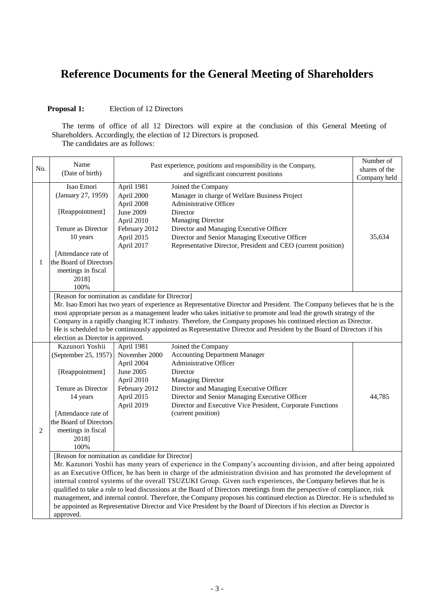# **Reference Documents for the General Meeting of Shareholders**

## **Proposal 1:** Election of 12 Directors

The terms of office of all 12 Directors will expire at the conclusion of this General Meeting of Shareholders. Accordingly, the election of 12 Directors is proposed. The candidates are as follows:

|                                                                                                                        | Name                                                                                                                     |                                      | Past experience, positions and responsibility in the Company,                                                            | Number of     |  |  |
|------------------------------------------------------------------------------------------------------------------------|--------------------------------------------------------------------------------------------------------------------------|--------------------------------------|--------------------------------------------------------------------------------------------------------------------------|---------------|--|--|
| No.                                                                                                                    | (Date of birth)                                                                                                          | and significant concurrent positions |                                                                                                                          | shares of the |  |  |
|                                                                                                                        |                                                                                                                          |                                      |                                                                                                                          | Company held  |  |  |
|                                                                                                                        | Isao Emori                                                                                                               | April 1981                           | Joined the Company                                                                                                       |               |  |  |
|                                                                                                                        | (January 27, 1959)                                                                                                       | April 2000                           | Manager in charge of Welfare Business Project                                                                            |               |  |  |
|                                                                                                                        |                                                                                                                          | April 2008                           | Administrative Officer                                                                                                   |               |  |  |
|                                                                                                                        | [Reappointment]                                                                                                          | June 2009<br>April 2010              | Director<br><b>Managing Director</b>                                                                                     |               |  |  |
|                                                                                                                        | Tenure as Director                                                                                                       | February 2012                        | Director and Managing Executive Officer                                                                                  |               |  |  |
|                                                                                                                        | 10 years                                                                                                                 | April 2015                           | Director and Senior Managing Executive Officer                                                                           | 35,634        |  |  |
|                                                                                                                        |                                                                                                                          | April 2017                           | Representative Director, President and CEO (current position)                                                            |               |  |  |
|                                                                                                                        | [Attendance rate of                                                                                                      |                                      |                                                                                                                          |               |  |  |
| 1                                                                                                                      | the Board of Directors                                                                                                   |                                      |                                                                                                                          |               |  |  |
|                                                                                                                        | meetings in fiscal                                                                                                       |                                      |                                                                                                                          |               |  |  |
|                                                                                                                        | 2018]                                                                                                                    |                                      |                                                                                                                          |               |  |  |
|                                                                                                                        | 100%                                                                                                                     |                                      |                                                                                                                          |               |  |  |
|                                                                                                                        | [Reason for nomination as candidate for Director]                                                                        |                                      |                                                                                                                          |               |  |  |
|                                                                                                                        |                                                                                                                          |                                      | Mr. Isao Emori has two years of experience as Representative Director and President. The Company believes that he is the |               |  |  |
|                                                                                                                        |                                                                                                                          |                                      | most appropriate person as a management leader who takes initiative to promote and lead the growth strategy of the       |               |  |  |
|                                                                                                                        |                                                                                                                          |                                      | Company in a rapidly changing ICT industry. Therefore, the Company proposes his continued election as Director.          |               |  |  |
| He is scheduled to be continuously appointed as Representative Director and President by the Board of Directors if his |                                                                                                                          |                                      |                                                                                                                          |               |  |  |
|                                                                                                                        | election as Director is approved.                                                                                        |                                      |                                                                                                                          |               |  |  |
|                                                                                                                        | Kazunori Yoshii                                                                                                          | April 1981                           | Joined the Company                                                                                                       |               |  |  |
|                                                                                                                        | (September 25, 1957)                                                                                                     | November 2000                        | <b>Accounting Department Manager</b>                                                                                     |               |  |  |
|                                                                                                                        |                                                                                                                          | April 2004                           | Administrative Officer                                                                                                   |               |  |  |
|                                                                                                                        | [Reappointment]                                                                                                          | June 2005                            | Director                                                                                                                 |               |  |  |
|                                                                                                                        |                                                                                                                          | April 2010                           | <b>Managing Director</b>                                                                                                 |               |  |  |
|                                                                                                                        | Tenure as Director                                                                                                       | February 2012                        | Director and Managing Executive Officer                                                                                  |               |  |  |
|                                                                                                                        | 14 years                                                                                                                 | April 2015                           | Director and Senior Managing Executive Officer<br>Director and Executive Vice President, Corporate Functions             | 44,785        |  |  |
|                                                                                                                        | [Attendance rate of                                                                                                      | April 2019                           | (current position)                                                                                                       |               |  |  |
|                                                                                                                        | the Board of Directors                                                                                                   |                                      |                                                                                                                          |               |  |  |
| $\overline{c}$                                                                                                         | meetings in fiscal                                                                                                       |                                      |                                                                                                                          |               |  |  |
|                                                                                                                        | 2018]                                                                                                                    |                                      |                                                                                                                          |               |  |  |
|                                                                                                                        | 100%                                                                                                                     |                                      |                                                                                                                          |               |  |  |
|                                                                                                                        | [Reason for nomination as candidate for Director]                                                                        |                                      |                                                                                                                          |               |  |  |
|                                                                                                                        | Mr. Kazunori Yoshii has many years of experience in the Company's accounting division, and after being appointed         |                                      |                                                                                                                          |               |  |  |
|                                                                                                                        | as an Executive Officer, he has been in charge of the administration division and has promoted the development of        |                                      |                                                                                                                          |               |  |  |
|                                                                                                                        | internal control systems of the overall TSUZUKI Group. Given such experiences, the Company believes that he is           |                                      |                                                                                                                          |               |  |  |
|                                                                                                                        | qualified to take a role to lead discussions at the Board of Directors meetings from the perspective of compliance, risk |                                      |                                                                                                                          |               |  |  |
|                                                                                                                        | management, and internal control. Therefore, the Company proposes his continued election as Director. He is scheduled to |                                      |                                                                                                                          |               |  |  |
|                                                                                                                        | be appointed as Representative Director and Vice President by the Board of Directors if his election as Director is      |                                      |                                                                                                                          |               |  |  |
|                                                                                                                        | approved.                                                                                                                |                                      |                                                                                                                          |               |  |  |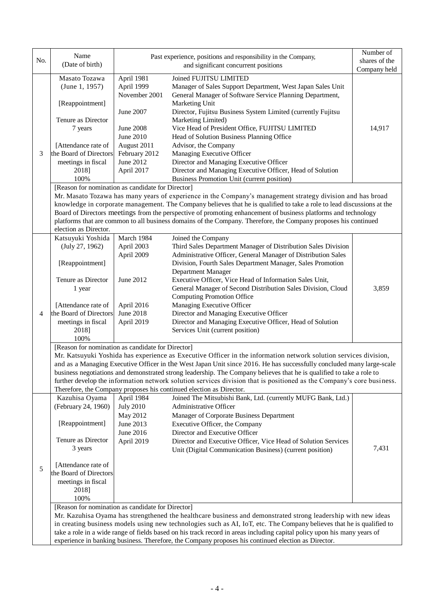| No. | Name<br>(Date of birth)                                                                                                                                                                                                                        |                                                                                                     | Past experience, positions and responsibility in the Company,<br>and significant concurrent positions                               | Number of<br>shares of the<br>Company held |  |  |
|-----|------------------------------------------------------------------------------------------------------------------------------------------------------------------------------------------------------------------------------------------------|-----------------------------------------------------------------------------------------------------|-------------------------------------------------------------------------------------------------------------------------------------|--------------------------------------------|--|--|
|     | Masato Tozawa                                                                                                                                                                                                                                  | April 1981                                                                                          | Joined FUJITSU LIMITED                                                                                                              |                                            |  |  |
|     | (June 1, 1957)                                                                                                                                                                                                                                 | April 1999                                                                                          | Manager of Sales Support Department, West Japan Sales Unit                                                                          |                                            |  |  |
|     |                                                                                                                                                                                                                                                | November 2001                                                                                       | General Manager of Software Service Planning Department,                                                                            |                                            |  |  |
|     | [Reappointment]                                                                                                                                                                                                                                |                                                                                                     | Marketing Unit                                                                                                                      |                                            |  |  |
|     |                                                                                                                                                                                                                                                | June 2007                                                                                           | Director, Fujitsu Business System Limited (currently Fujitsu                                                                        |                                            |  |  |
|     | Tenure as Director                                                                                                                                                                                                                             | June 2008                                                                                           | Marketing Limited)                                                                                                                  |                                            |  |  |
|     | 7 years                                                                                                                                                                                                                                        | June 2010                                                                                           | Vice Head of President Office, FUJITSU LIMITED<br>Head of Solution Business Planning Office                                         | 14,917                                     |  |  |
|     | [Attendance rate of                                                                                                                                                                                                                            | August 2011                                                                                         | Advisor, the Company                                                                                                                |                                            |  |  |
| 3   | the Board of Directors                                                                                                                                                                                                                         | February 2012                                                                                       | Managing Executive Officer                                                                                                          |                                            |  |  |
|     | meetings in fiscal                                                                                                                                                                                                                             | June 2012                                                                                           | Director and Managing Executive Officer                                                                                             |                                            |  |  |
|     | 2018]                                                                                                                                                                                                                                          | April 2017                                                                                          | Director and Managing Executive Officer, Head of Solution                                                                           |                                            |  |  |
|     | 100%                                                                                                                                                                                                                                           |                                                                                                     | Business Promotion Unit (current position)                                                                                          |                                            |  |  |
|     | [Reason for nomination as candidate for Director]                                                                                                                                                                                              |                                                                                                     |                                                                                                                                     |                                            |  |  |
|     |                                                                                                                                                                                                                                                |                                                                                                     | Mr. Masato Tozawa has many years of experience in the Company's management strategy division and has broad                          |                                            |  |  |
|     |                                                                                                                                                                                                                                                |                                                                                                     | knowledge in corporate management. The Company believes that he is qualified to take a role to lead discussions at the              |                                            |  |  |
|     |                                                                                                                                                                                                                                                |                                                                                                     | Board of Directors meetings from the perspective of promoting enhancement of business platforms and technology                      |                                            |  |  |
|     |                                                                                                                                                                                                                                                |                                                                                                     | platforms that are common to all business domains of the Company. Therefore, the Company proposes his continued                     |                                            |  |  |
|     | election as Director.                                                                                                                                                                                                                          |                                                                                                     |                                                                                                                                     |                                            |  |  |
|     | Katsuyuki Yoshida                                                                                                                                                                                                                              | March 1984                                                                                          | Joined the Company                                                                                                                  |                                            |  |  |
|     | (July 27, 1962)                                                                                                                                                                                                                                | April 2003                                                                                          | Third Sales Department Manager of Distribution Sales Division                                                                       |                                            |  |  |
|     |                                                                                                                                                                                                                                                | April 2009                                                                                          | Administrative Officer, General Manager of Distribution Sales                                                                       |                                            |  |  |
|     | [Reappointment]                                                                                                                                                                                                                                |                                                                                                     | Division, Fourth Sales Department Manager, Sales Promotion                                                                          |                                            |  |  |
|     | Tenure as Director                                                                                                                                                                                                                             | June 2012                                                                                           | Department Manager<br>Executive Officer, Vice Head of Information Sales Unit,                                                       |                                            |  |  |
|     | 1 year                                                                                                                                                                                                                                         |                                                                                                     | General Manager of Second Distribution Sales Division, Cloud                                                                        | 3,859                                      |  |  |
|     |                                                                                                                                                                                                                                                |                                                                                                     | <b>Computing Promotion Office</b>                                                                                                   |                                            |  |  |
|     | [Attendance rate of                                                                                                                                                                                                                            | April 2016                                                                                          | Managing Executive Officer                                                                                                          |                                            |  |  |
| 4   | the Board of Directors                                                                                                                                                                                                                         | June 2018                                                                                           | Director and Managing Executive Officer                                                                                             |                                            |  |  |
|     | meetings in fiscal                                                                                                                                                                                                                             | April 2019                                                                                          | Director and Managing Executive Officer, Head of Solution                                                                           |                                            |  |  |
|     | 2018]                                                                                                                                                                                                                                          |                                                                                                     | Services Unit (current position)                                                                                                    |                                            |  |  |
|     | 100%                                                                                                                                                                                                                                           |                                                                                                     |                                                                                                                                     |                                            |  |  |
|     | [Reason for nomination as candidate for Director]                                                                                                                                                                                              |                                                                                                     |                                                                                                                                     |                                            |  |  |
|     | Mr. Katsuyuki Yoshida has experience as Executive Officer in the information network solution services division,                                                                                                                               |                                                                                                     |                                                                                                                                     |                                            |  |  |
|     | and as a Managing Executive Officer in the West Japan Unit since 2016. He has successfully concluded many large-scale                                                                                                                          |                                                                                                     |                                                                                                                                     |                                            |  |  |
|     | business negotiations and demonstrated strong leadership. The Company believes that he is qualified to take a role to<br>further develop the information network solution services division that is positioned as the Company's core business. |                                                                                                     |                                                                                                                                     |                                            |  |  |
|     |                                                                                                                                                                                                                                                |                                                                                                     |                                                                                                                                     |                                            |  |  |
|     | Kazuhisa Oyama                                                                                                                                                                                                                                 | April 1984                                                                                          | Therefore, the Company proposes his continued election as Director.<br>Joined The Mitsubishi Bank, Ltd. (currently MUFG Bank, Ltd.) |                                            |  |  |
|     | (February 24, 1960)                                                                                                                                                                                                                            | <b>July 2010</b>                                                                                    | Administrative Officer                                                                                                              |                                            |  |  |
|     |                                                                                                                                                                                                                                                | May 2012                                                                                            | Manager of Corporate Business Department                                                                                            |                                            |  |  |
|     | [Reappointment]                                                                                                                                                                                                                                | June 2013                                                                                           | Executive Officer, the Company                                                                                                      |                                            |  |  |
|     |                                                                                                                                                                                                                                                | June 2016                                                                                           | Director and Executive Officer                                                                                                      |                                            |  |  |
|     | Tenure as Director                                                                                                                                                                                                                             | April 2019                                                                                          | Director and Executive Officer, Vice Head of Solution Services                                                                      |                                            |  |  |
|     | 3 years                                                                                                                                                                                                                                        |                                                                                                     | Unit (Digital Communication Business) (current position)                                                                            | 7,431                                      |  |  |
|     |                                                                                                                                                                                                                                                |                                                                                                     |                                                                                                                                     |                                            |  |  |
| 5   | [Attendance rate of                                                                                                                                                                                                                            |                                                                                                     |                                                                                                                                     |                                            |  |  |
|     | the Board of Directors                                                                                                                                                                                                                         |                                                                                                     |                                                                                                                                     |                                            |  |  |
|     | meetings in fiscal                                                                                                                                                                                                                             |                                                                                                     |                                                                                                                                     |                                            |  |  |
|     | 2018]                                                                                                                                                                                                                                          |                                                                                                     |                                                                                                                                     |                                            |  |  |
|     | 100%                                                                                                                                                                                                                                           |                                                                                                     |                                                                                                                                     |                                            |  |  |
|     | [Reason for nomination as candidate for Director]                                                                                                                                                                                              |                                                                                                     |                                                                                                                                     |                                            |  |  |
|     | Mr. Kazuhisa Oyama has strengthened the healthcare business and demonstrated strong leadership with new ideas<br>in creating business models using new technologies such as AI, IoT, etc. The Company believes that he is qualified to         |                                                                                                     |                                                                                                                                     |                                            |  |  |
|     |                                                                                                                                                                                                                                                |                                                                                                     | take a role in a wide range of fields based on his track record in areas including capital policy upon his many years of            |                                            |  |  |
|     |                                                                                                                                                                                                                                                | experience in banking business. Therefore, the Company proposes his continued election as Director. |                                                                                                                                     |                                            |  |  |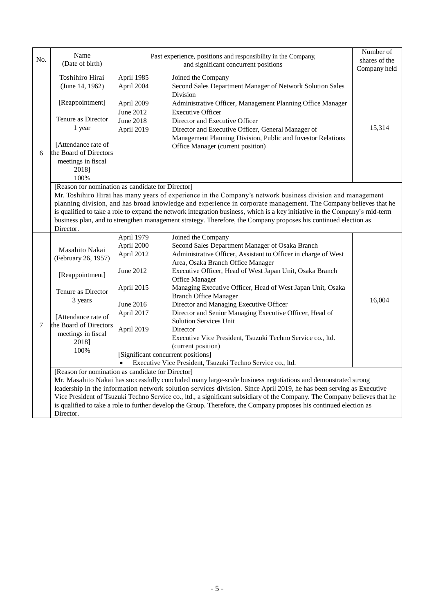| No. | Name<br>(Date of birth)                                                                                                                                                                                                                          |                                                                                                                                                                                                                               | Past experience, positions and responsibility in the Company,<br>and significant concurrent positions                                                                                                                                          | Number of<br>shares of the<br>Company held |  |  |  |
|-----|--------------------------------------------------------------------------------------------------------------------------------------------------------------------------------------------------------------------------------------------------|-------------------------------------------------------------------------------------------------------------------------------------------------------------------------------------------------------------------------------|------------------------------------------------------------------------------------------------------------------------------------------------------------------------------------------------------------------------------------------------|--------------------------------------------|--|--|--|
|     |                                                                                                                                                                                                                                                  |                                                                                                                                                                                                                               |                                                                                                                                                                                                                                                |                                            |  |  |  |
|     | Toshihiro Hirai<br>(June 14, 1962)                                                                                                                                                                                                               | April 1985<br>April 2004                                                                                                                                                                                                      | Joined the Company<br>Second Sales Department Manager of Network Solution Sales<br><b>Division</b>                                                                                                                                             |                                            |  |  |  |
|     | [Reappointment]                                                                                                                                                                                                                                  | April 2009<br>June 2012                                                                                                                                                                                                       | Administrative Officer, Management Planning Office Manager<br><b>Executive Officer</b>                                                                                                                                                         |                                            |  |  |  |
|     | Tenure as Director                                                                                                                                                                                                                               | June 2018                                                                                                                                                                                                                     | Director and Executive Officer                                                                                                                                                                                                                 |                                            |  |  |  |
|     | 1 year                                                                                                                                                                                                                                           | April 2019                                                                                                                                                                                                                    | Director and Executive Officer, General Manager of                                                                                                                                                                                             | 15,314                                     |  |  |  |
|     |                                                                                                                                                                                                                                                  |                                                                                                                                                                                                                               | Management Planning Division, Public and Investor Relations                                                                                                                                                                                    |                                            |  |  |  |
|     | [Attendance rate of                                                                                                                                                                                                                              |                                                                                                                                                                                                                               | Office Manager (current position)                                                                                                                                                                                                              |                                            |  |  |  |
| 6   | the Board of Directors                                                                                                                                                                                                                           |                                                                                                                                                                                                                               |                                                                                                                                                                                                                                                |                                            |  |  |  |
|     | meetings in fiscal                                                                                                                                                                                                                               |                                                                                                                                                                                                                               |                                                                                                                                                                                                                                                |                                            |  |  |  |
|     | 2018]                                                                                                                                                                                                                                            |                                                                                                                                                                                                                               |                                                                                                                                                                                                                                                |                                            |  |  |  |
|     | 100%                                                                                                                                                                                                                                             |                                                                                                                                                                                                                               |                                                                                                                                                                                                                                                |                                            |  |  |  |
|     | [Reason for nomination as candidate for Director]                                                                                                                                                                                                |                                                                                                                                                                                                                               |                                                                                                                                                                                                                                                |                                            |  |  |  |
|     |                                                                                                                                                                                                                                                  | Mr. Toshihiro Hirai has many years of experience in the Company's network business division and management<br>planning division, and has broad knowledge and experience in corporate management. The Company believes that he |                                                                                                                                                                                                                                                |                                            |  |  |  |
|     |                                                                                                                                                                                                                                                  |                                                                                                                                                                                                                               | is qualified to take a role to expand the network integration business, which is a key initiative in the Company's mid-term<br>business plan, and to strengthen management strategy. Therefore, the Company proposes his continued election as |                                            |  |  |  |
|     | Director.                                                                                                                                                                                                                                        |                                                                                                                                                                                                                               |                                                                                                                                                                                                                                                |                                            |  |  |  |
|     |                                                                                                                                                                                                                                                  | April 1979                                                                                                                                                                                                                    | Joined the Company                                                                                                                                                                                                                             |                                            |  |  |  |
|     |                                                                                                                                                                                                                                                  | April 2000                                                                                                                                                                                                                    | Second Sales Department Manager of Osaka Branch                                                                                                                                                                                                |                                            |  |  |  |
|     | Masahito Nakai                                                                                                                                                                                                                                   | April 2012                                                                                                                                                                                                                    | Administrative Officer, Assistant to Officer in charge of West                                                                                                                                                                                 |                                            |  |  |  |
|     | (February 26, 1957)                                                                                                                                                                                                                              |                                                                                                                                                                                                                               | Area, Osaka Branch Office Manager                                                                                                                                                                                                              |                                            |  |  |  |
|     | [Reappointment]                                                                                                                                                                                                                                  | June 2012                                                                                                                                                                                                                     | Executive Officer, Head of West Japan Unit, Osaka Branch                                                                                                                                                                                       |                                            |  |  |  |
|     |                                                                                                                                                                                                                                                  |                                                                                                                                                                                                                               | Office Manager                                                                                                                                                                                                                                 |                                            |  |  |  |
|     | Tenure as Director<br>3 years                                                                                                                                                                                                                    | April 2015                                                                                                                                                                                                                    | Managing Executive Officer, Head of West Japan Unit, Osaka                                                                                                                                                                                     |                                            |  |  |  |
|     |                                                                                                                                                                                                                                                  |                                                                                                                                                                                                                               | <b>Branch Office Manager</b>                                                                                                                                                                                                                   |                                            |  |  |  |
|     |                                                                                                                                                                                                                                                  | June 2016                                                                                                                                                                                                                     | Director and Managing Executive Officer                                                                                                                                                                                                        | 16,004                                     |  |  |  |
|     | [Attendance rate of                                                                                                                                                                                                                              | April 2017                                                                                                                                                                                                                    | Director and Senior Managing Executive Officer, Head of                                                                                                                                                                                        |                                            |  |  |  |
| 7   | the Board of Directors                                                                                                                                                                                                                           |                                                                                                                                                                                                                               | <b>Solution Services Unit</b>                                                                                                                                                                                                                  |                                            |  |  |  |
|     | meetings in fiscal                                                                                                                                                                                                                               | April 2019                                                                                                                                                                                                                    | Director                                                                                                                                                                                                                                       |                                            |  |  |  |
|     | 2018]                                                                                                                                                                                                                                            |                                                                                                                                                                                                                               | Executive Vice President, Tsuzuki Techno Service co., ltd.                                                                                                                                                                                     |                                            |  |  |  |
|     | 100%                                                                                                                                                                                                                                             |                                                                                                                                                                                                                               | (current position)                                                                                                                                                                                                                             |                                            |  |  |  |
|     |                                                                                                                                                                                                                                                  | [Significant concurrent positions]                                                                                                                                                                                            |                                                                                                                                                                                                                                                |                                            |  |  |  |
|     | Executive Vice President, Tsuzuki Techno Service co., ltd.<br>$\bullet$                                                                                                                                                                          |                                                                                                                                                                                                                               |                                                                                                                                                                                                                                                |                                            |  |  |  |
|     | [Reason for nomination as candidate for Director]                                                                                                                                                                                                |                                                                                                                                                                                                                               |                                                                                                                                                                                                                                                |                                            |  |  |  |
|     | Mr. Masahito Nakai has successfully concluded many large-scale business negotiations and demonstrated strong                                                                                                                                     |                                                                                                                                                                                                                               |                                                                                                                                                                                                                                                |                                            |  |  |  |
|     | leadership in the information network solution services division. Since April 2019, he has been serving as Executive                                                                                                                             |                                                                                                                                                                                                                               |                                                                                                                                                                                                                                                |                                            |  |  |  |
|     | Vice President of Tsuzuki Techno Service co., ltd., a significant subsidiary of the Company. The Company believes that he<br>is qualified to take a role to further develop the Group. Therefore, the Company proposes his continued election as |                                                                                                                                                                                                                               |                                                                                                                                                                                                                                                |                                            |  |  |  |
|     |                                                                                                                                                                                                                                                  |                                                                                                                                                                                                                               |                                                                                                                                                                                                                                                |                                            |  |  |  |
|     | Director.                                                                                                                                                                                                                                        |                                                                                                                                                                                                                               |                                                                                                                                                                                                                                                |                                            |  |  |  |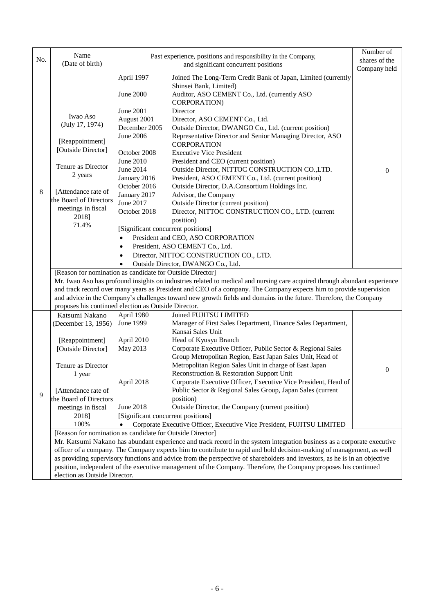|     | Name                                                                                                                                                                                                                                    |                                                                                                                         | Past experience, positions and responsibility in the Company,                           | Number of      |  |  |  |
|-----|-----------------------------------------------------------------------------------------------------------------------------------------------------------------------------------------------------------------------------------------|-------------------------------------------------------------------------------------------------------------------------|-----------------------------------------------------------------------------------------|----------------|--|--|--|
| No. | (Date of birth)                                                                                                                                                                                                                         | and significant concurrent positions                                                                                    |                                                                                         | shares of the  |  |  |  |
|     |                                                                                                                                                                                                                                         |                                                                                                                         |                                                                                         | Company held   |  |  |  |
|     |                                                                                                                                                                                                                                         | April 1997                                                                                                              | Joined The Long-Term Credit Bank of Japan, Limited (currently<br>Shinsei Bank, Limited) |                |  |  |  |
|     |                                                                                                                                                                                                                                         | June 2000                                                                                                               | Auditor, ASO CEMENT Co., Ltd. (currently ASO<br>CORPORATION)                            |                |  |  |  |
|     |                                                                                                                                                                                                                                         | <b>June 2001</b>                                                                                                        | Director                                                                                |                |  |  |  |
|     | Iwao Aso<br>(July 17, 1974)                                                                                                                                                                                                             | August 2001                                                                                                             | Director, ASO CEMENT Co., Ltd.                                                          |                |  |  |  |
|     |                                                                                                                                                                                                                                         | December 2005                                                                                                           | Outside Director, DWANGO Co., Ltd. (current position)                                   |                |  |  |  |
|     |                                                                                                                                                                                                                                         | June 2006                                                                                                               | Representative Director and Senior Managing Director, ASO                               |                |  |  |  |
|     | [Reappointment]                                                                                                                                                                                                                         |                                                                                                                         | <b>CORPORATION</b>                                                                      |                |  |  |  |
|     | [Outside Director]                                                                                                                                                                                                                      | October 2008                                                                                                            | <b>Executive Vice President</b>                                                         |                |  |  |  |
|     |                                                                                                                                                                                                                                         | June 2010                                                                                                               | President and CEO (current position)                                                    |                |  |  |  |
|     | Tenure as Director                                                                                                                                                                                                                      | June 2014                                                                                                               | Outside Director, NITTOC CONSTRUCTION CO., LTD.                                         | $\theta$       |  |  |  |
|     | 2 years                                                                                                                                                                                                                                 | January 2016                                                                                                            | President, ASO CEMENT Co., Ltd. (current position)                                      |                |  |  |  |
|     | [Attendance rate of                                                                                                                                                                                                                     | October 2016                                                                                                            | Outside Director, D.A.Consortium Holdings Inc.                                          |                |  |  |  |
| 8   | the Board of Directors                                                                                                                                                                                                                  | January 2017                                                                                                            | Advisor, the Company                                                                    |                |  |  |  |
|     |                                                                                                                                                                                                                                         | June 2017                                                                                                               | Outside Director (current position)                                                     |                |  |  |  |
|     | meetings in fiscal<br>2018]                                                                                                                                                                                                             | October 2018                                                                                                            | Director, NITTOC CONSTRUCTION CO., LTD. (current                                        |                |  |  |  |
|     | 71.4%                                                                                                                                                                                                                                   |                                                                                                                         | position)                                                                               |                |  |  |  |
|     |                                                                                                                                                                                                                                         | [Significant concurrent positions]                                                                                      |                                                                                         |                |  |  |  |
|     |                                                                                                                                                                                                                                         | $\bullet$                                                                                                               | President and CEO, ASO CORPORATION<br>President, ASO CEMENT Co., Ltd.                   |                |  |  |  |
|     |                                                                                                                                                                                                                                         | $\bullet$<br>Director, NITTOC CONSTRUCTION CO., LTD.                                                                    |                                                                                         |                |  |  |  |
|     |                                                                                                                                                                                                                                         |                                                                                                                         |                                                                                         |                |  |  |  |
|     |                                                                                                                                                                                                                                         |                                                                                                                         | Outside Director, DWANGO Co., Ltd.                                                      |                |  |  |  |
|     | [Reason for nomination as candidate for Outside Director]                                                                                                                                                                               |                                                                                                                         |                                                                                         |                |  |  |  |
|     | Mr. Iwao Aso has profound insights on industries related to medical and nursing care acquired through abundant experience                                                                                                               |                                                                                                                         |                                                                                         |                |  |  |  |
|     | and track record over many years as President and CEO of a company. The Company expects him to provide supervision<br>and advice in the Company's challenges toward new growth fields and domains in the future. Therefore, the Company |                                                                                                                         |                                                                                         |                |  |  |  |
|     | proposes his continued election as Outside Director.                                                                                                                                                                                    |                                                                                                                         |                                                                                         |                |  |  |  |
|     |                                                                                                                                                                                                                                         |                                                                                                                         |                                                                                         |                |  |  |  |
|     | Katsumi Nakano                                                                                                                                                                                                                          | April 1980                                                                                                              | Joined FUJITSU LIMITED                                                                  |                |  |  |  |
|     | (December 13, 1956)                                                                                                                                                                                                                     | June 1999                                                                                                               | Manager of First Sales Department, Finance Sales Department,<br>Kansai Sales Unit       |                |  |  |  |
|     |                                                                                                                                                                                                                                         | April 2010                                                                                                              | Head of Kyusyu Branch                                                                   |                |  |  |  |
|     | [Reappointment]<br>[Outside Director]                                                                                                                                                                                                   | May 2013                                                                                                                | Corporate Executive Officer, Public Sector & Regional Sales                             |                |  |  |  |
|     |                                                                                                                                                                                                                                         |                                                                                                                         | Group Metropolitan Region, East Japan Sales Unit, Head of                               |                |  |  |  |
|     | Tenure as Director                                                                                                                                                                                                                      |                                                                                                                         | Metropolitan Region Sales Unit in charge of East Japan                                  |                |  |  |  |
|     | 1 year                                                                                                                                                                                                                                  |                                                                                                                         | Reconstruction & Restoration Support Unit                                               | $\overline{0}$ |  |  |  |
|     |                                                                                                                                                                                                                                         | April 2018                                                                                                              | Corporate Executive Officer, Executive Vice President, Head of                          |                |  |  |  |
|     | [Attendance rate of                                                                                                                                                                                                                     |                                                                                                                         | Public Sector & Regional Sales Group, Japan Sales (current                              |                |  |  |  |
| 9   | the Board of Directors                                                                                                                                                                                                                  |                                                                                                                         | position)                                                                               |                |  |  |  |
|     | meetings in fiscal                                                                                                                                                                                                                      | June 2018                                                                                                               | Outside Director, the Company (current position)                                        |                |  |  |  |
|     | 2018]                                                                                                                                                                                                                                   | [Significant concurrent positions]                                                                                      |                                                                                         |                |  |  |  |
|     | 100%                                                                                                                                                                                                                                    | Corporate Executive Officer, Executive Vice President, FUJITSU LIMITED                                                  |                                                                                         |                |  |  |  |
|     | [Reason for nomination as candidate for Outside Director]                                                                                                                                                                               |                                                                                                                         |                                                                                         |                |  |  |  |
|     |                                                                                                                                                                                                                                         | Mr. Katsumi Nakano has abundant experience and track record in the system integration business as a corporate executive |                                                                                         |                |  |  |  |
|     | officer of a company. The Company expects him to contribute to rapid and bold decision-making of management, as well                                                                                                                    |                                                                                                                         |                                                                                         |                |  |  |  |
|     | as providing supervisory functions and advice from the perspective of shareholders and investors, as he is in an objective                                                                                                              |                                                                                                                         |                                                                                         |                |  |  |  |
|     | position, independent of the executive management of the Company. Therefore, the Company proposes his continued                                                                                                                         |                                                                                                                         |                                                                                         |                |  |  |  |
|     | election as Outside Director.                                                                                                                                                                                                           |                                                                                                                         |                                                                                         |                |  |  |  |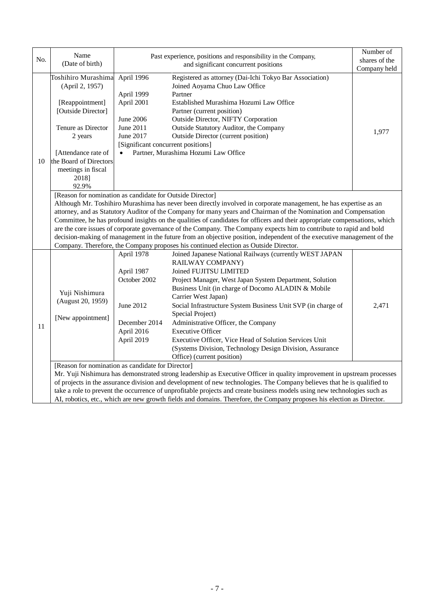| No. | Name<br>(Date of birth)                                                                                                                                                                                                                                                                                                                                                                                                                                                                                                                                                                                                                                                                                                                                                   |                                                                                                                     | Past experience, positions and responsibility in the Company,<br>and significant concurrent positions                                                                                                                                                                                                                                                                                                                                                                                                                                                                                                                                                                                                                                                                                                          | Number of<br>shares of the<br>Company held |  |  |
|-----|---------------------------------------------------------------------------------------------------------------------------------------------------------------------------------------------------------------------------------------------------------------------------------------------------------------------------------------------------------------------------------------------------------------------------------------------------------------------------------------------------------------------------------------------------------------------------------------------------------------------------------------------------------------------------------------------------------------------------------------------------------------------------|---------------------------------------------------------------------------------------------------------------------|----------------------------------------------------------------------------------------------------------------------------------------------------------------------------------------------------------------------------------------------------------------------------------------------------------------------------------------------------------------------------------------------------------------------------------------------------------------------------------------------------------------------------------------------------------------------------------------------------------------------------------------------------------------------------------------------------------------------------------------------------------------------------------------------------------------|--------------------------------------------|--|--|
| 10  | Toshihiro Murashima<br>(April 2, 1957)<br>[Reappointment]<br>[Outside Director]<br>Tenure as Director<br>2 years<br>[Attendance rate of<br>the Board of Directors<br>meetings in fiscal<br>2018]<br>92.9%                                                                                                                                                                                                                                                                                                                                                                                                                                                                                                                                                                 | April 1996<br>April 1999<br>April 2001<br>June 2006<br>June 2011<br>June 2017<br>[Significant concurrent positions] | Registered as attorney (Dai-Ichi Tokyo Bar Association)<br>Joined Aoyama Chuo Law Office<br>Partner<br>Established Murashima Hozumi Law Office<br>Partner (current position)<br>Outside Director, NIFTY Corporation<br>Outside Statutory Auditor, the Company<br><b>Outside Director (current position)</b><br>Partner, Murashima Hozumi Law Office                                                                                                                                                                                                                                                                                                                                                                                                                                                            | 1,977                                      |  |  |
|     | [Reason for nomination as candidate for Outside Director]<br>Although Mr. Toshihiro Murashima has never been directly involved in corporate management, he has expertise as an<br>attorney, and as Statutory Auditor of the Company for many years and Chairman of the Nomination and Compensation<br>Committee, he has profound insights on the qualities of candidates for officers and their appropriate compensations, which<br>are the core issues of corporate governance of the Company. The Company expects him to contribute to rapid and bold<br>decision-making of management in the future from an objective position, independent of the executive management of the<br>Company. Therefore, the Company proposes his continued election as Outside Director. |                                                                                                                     |                                                                                                                                                                                                                                                                                                                                                                                                                                                                                                                                                                                                                                                                                                                                                                                                                |                                            |  |  |
| 11  | Yuji Nishimura<br>(August 20, 1959)<br>[New appointment]<br>[Reason for nomination as candidate for Director]                                                                                                                                                                                                                                                                                                                                                                                                                                                                                                                                                                                                                                                             | April 1978<br>April 1987<br>October 2002<br>June 2012<br>December 2014<br>April 2016<br>April 2019                  | Joined Japanese National Railways (currently WEST JAPAN<br>RAILWAY COMPANY)<br>Joined FUJITSU LIMITED<br>Project Manager, West Japan System Department, Solution<br>Business Unit (in charge of Docomo ALADIN & Mobile<br>Carrier West Japan)<br>Social Infrastructure System Business Unit SVP (in charge of<br>Special Project)<br>Administrative Officer, the Company<br><b>Executive Officer</b><br>Executive Officer, Vice Head of Solution Services Unit<br>(Systems Division, Technology Design Division, Assurance<br>Office) (current position)<br>Mr. Yuji Nishimura has demonstrated strong leadership as Executive Officer in quality improvement in upstream processes<br>of projects in the assurance division and development of new technologies. The Company believes that he is qualified to | 2,471                                      |  |  |
|     | take a role to prevent the occurrence of unprofitable projects and create business models using new technologies such as<br>AI, robotics, etc., which are new growth fields and domains. Therefore, the Company proposes his election as Director.                                                                                                                                                                                                                                                                                                                                                                                                                                                                                                                        |                                                                                                                     |                                                                                                                                                                                                                                                                                                                                                                                                                                                                                                                                                                                                                                                                                                                                                                                                                |                                            |  |  |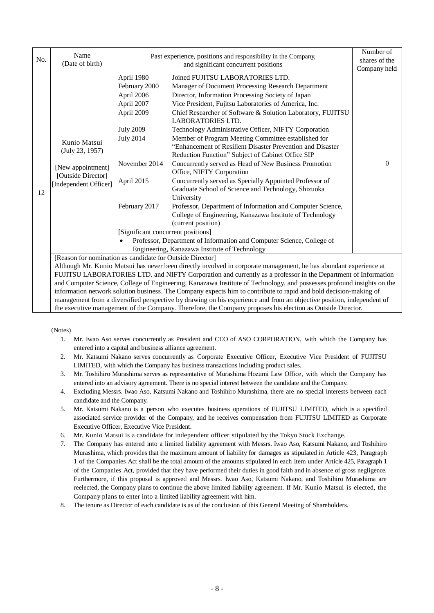| No. | Name<br>(Date of birth)                                                                                                | Past experience, positions and responsibility in the Company,<br>and significant concurrent positions                                                                                                                                      |                                                                                         | Number of<br>shares of the |  |  |  |
|-----|------------------------------------------------------------------------------------------------------------------------|--------------------------------------------------------------------------------------------------------------------------------------------------------------------------------------------------------------------------------------------|-----------------------------------------------------------------------------------------|----------------------------|--|--|--|
|     |                                                                                                                        |                                                                                                                                                                                                                                            |                                                                                         | Company held               |  |  |  |
|     |                                                                                                                        | April 1980                                                                                                                                                                                                                                 | Joined FUJITSU LABORATORIES LTD.                                                        |                            |  |  |  |
|     |                                                                                                                        | February 2000                                                                                                                                                                                                                              | Manager of Document Processing Research Department                                      |                            |  |  |  |
|     |                                                                                                                        | April 2006                                                                                                                                                                                                                                 | Director, Information Processing Society of Japan                                       |                            |  |  |  |
|     |                                                                                                                        | April 2007                                                                                                                                                                                                                                 | Vice President, Fujitsu Laboratories of America, Inc.                                   |                            |  |  |  |
|     |                                                                                                                        | April 2009                                                                                                                                                                                                                                 | Chief Researcher of Software & Solution Laboratory, FUJITSU<br><b>LABORATORIES LTD.</b> |                            |  |  |  |
|     |                                                                                                                        | <b>July 2009</b>                                                                                                                                                                                                                           | Technology Administrative Officer, NIFTY Corporation                                    |                            |  |  |  |
|     | Kunio Matsui                                                                                                           | <b>July 2014</b>                                                                                                                                                                                                                           | Member of Program Meeting Committee established for                                     |                            |  |  |  |
|     | (July 23, 1957)                                                                                                        |                                                                                                                                                                                                                                            | "Enhancement of Resilient Disaster Prevention and Disaster                              |                            |  |  |  |
|     |                                                                                                                        |                                                                                                                                                                                                                                            | Reduction Function" Subject of Cabinet Office SIP                                       |                            |  |  |  |
|     | [New appointment]                                                                                                      | November 2014                                                                                                                                                                                                                              | Concurrently served as Head of New Business Promotion                                   | $\Omega$                   |  |  |  |
|     | [Outside Director]                                                                                                     |                                                                                                                                                                                                                                            | Office, NIFTY Corporation                                                               |                            |  |  |  |
|     | [Independent Officer]                                                                                                  | April 2015                                                                                                                                                                                                                                 | Concurrently served as Specially Appointed Professor of                                 |                            |  |  |  |
| 12  |                                                                                                                        |                                                                                                                                                                                                                                            | Graduate School of Science and Technology, Shizuoka                                     |                            |  |  |  |
|     |                                                                                                                        |                                                                                                                                                                                                                                            | University                                                                              |                            |  |  |  |
|     |                                                                                                                        | February 2017                                                                                                                                                                                                                              | Professor, Department of Information and Computer Science,                              |                            |  |  |  |
|     |                                                                                                                        |                                                                                                                                                                                                                                            | College of Engineering, Kanazawa Institute of Technology                                |                            |  |  |  |
|     |                                                                                                                        |                                                                                                                                                                                                                                            | (current position)                                                                      |                            |  |  |  |
|     |                                                                                                                        | [Significant concurrent positions]                                                                                                                                                                                                         |                                                                                         |                            |  |  |  |
|     |                                                                                                                        | Professor, Department of Information and Computer Science, College of                                                                                                                                                                      |                                                                                         |                            |  |  |  |
|     | Engineering, Kanazawa Institute of Technology                                                                          |                                                                                                                                                                                                                                            |                                                                                         |                            |  |  |  |
|     | [Reason for nomination as candidate for Outside Director]                                                              |                                                                                                                                                                                                                                            |                                                                                         |                            |  |  |  |
|     | Although Mr. Kunio Matsui has never been directly involved in corporate management, he has abundant experience at      |                                                                                                                                                                                                                                            |                                                                                         |                            |  |  |  |
|     | FUJITSU LABORATORIES LTD. and NIFTY Corporation and currently as a professor in the Department of Information          |                                                                                                                                                                                                                                            |                                                                                         |                            |  |  |  |
|     | and Computer Science, College of Engineering, Kanazawa Institute of Technology, and possesses profound insights on the |                                                                                                                                                                                                                                            |                                                                                         |                            |  |  |  |
|     |                                                                                                                        | information network solution business. The Company expects him to contribute to rapid and bold decision-making of<br>management from a diversified perspective by drawing on his experience and from an objective position, independent of |                                                                                         |                            |  |  |  |
|     |                                                                                                                        |                                                                                                                                                                                                                                            |                                                                                         |                            |  |  |  |
|     |                                                                                                                        | the executive management of the Company. Therefore, the Company proposes his election as Outside Director.                                                                                                                                 |                                                                                         |                            |  |  |  |

(Notes)

- 1. Mr. Iwao Aso serves concurrently as President and CEO of ASO CORPORATION, with which the Company has entered into a capital and business alliance agreement.
- 2. Mr. Katsumi Nakano serves concurrently as Corporate Executive Officer, Executive Vice President of FUJITSU LIMITED, with which the Company has business transactions including product sales.
- 3. Mr. Toshihiro Murashima serves as representative of Murashima Hozumi Law Office, with which the Company has entered into an advisory agreement. There is no special interest between the candidate and the Company.
- 4. Excluding Messrs. Iwao Aso, Katsumi Nakano and Toshihiro Murashima, there are no special interests between each candidate and the Company.
- 5. Mr. Katsumi Nakano is a person who executes business operations of FUJITSU LIMITED, which is a specified associated service provider of the Company, and he receives compensation from FUJITSU LIMITED as Corporate Executive Officer, Executive Vice President.
- 6. Mr. Kunio Matsui is a candidate for independent officer stipulated by the Tokyo Stock Exchange.
- 7. The Company has entered into a limited liability agreement with Messrs. Iwao Aso, Katsumi Nakano, and Toshihiro Murashima, which provides that the maximum amount of liability for damages as stipulated in Article 423, Paragraph 1 of the Companies Act shall be the total amount of the amounts stipulated in each Item under Article 425, Paragraph 1 of the Companies Act, provided that they have performed their duties in good faith and in absence of gross negligence. Furthermore, if this proposal is approved and Messrs. Iwao Aso, Katsumi Nakano, and Toshihiro Murashima are reelected, the Company plans to continue the above limited liability agreement. If Mr. Kunio Matsui is elected, the Company plans to enter into a limited liability agreement with him.
- 8. The tenure as Director of each candidate is as of the conclusion of this General Meeting of Shareholders.